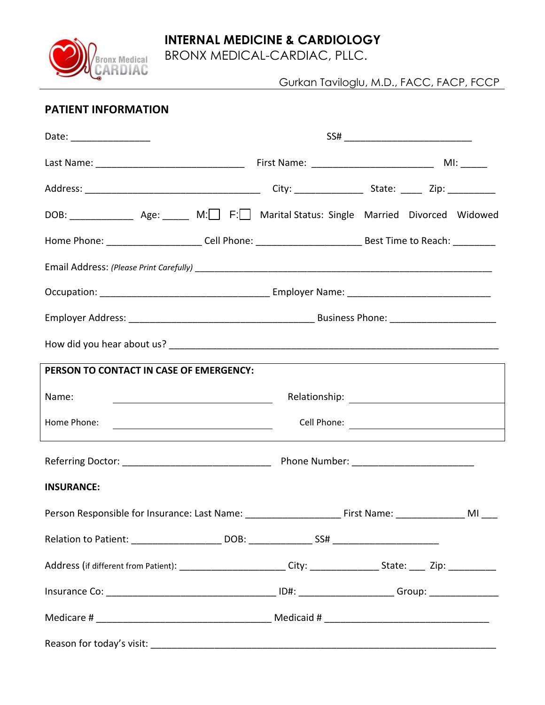

BRONX MEDICAL-CARDIAC, PLLC.



## **PATIENT INFORMATION**

Bronx Medical

| Date: __________________                                                               |                                                                                                                |  |  |  |  |  |
|----------------------------------------------------------------------------------------|----------------------------------------------------------------------------------------------------------------|--|--|--|--|--|
|                                                                                        |                                                                                                                |  |  |  |  |  |
|                                                                                        |                                                                                                                |  |  |  |  |  |
| DOB: _______________ Age: ______ M: F: Marital Status: Single Married Divorced Widowed |                                                                                                                |  |  |  |  |  |
|                                                                                        | Home Phone: ________________________Cell Phone: _________________________________Best Time to Reach: _________ |  |  |  |  |  |
|                                                                                        |                                                                                                                |  |  |  |  |  |
|                                                                                        |                                                                                                                |  |  |  |  |  |
|                                                                                        |                                                                                                                |  |  |  |  |  |
|                                                                                        |                                                                                                                |  |  |  |  |  |
| PERSON TO CONTACT IN CASE OF EMERGENCY:                                                |                                                                                                                |  |  |  |  |  |
| Name:                                                                                  |                                                                                                                |  |  |  |  |  |
| Home Phone:                                                                            | <u> 1980 - Johann Barn, fransk politik fotograf (d. 1980)</u>                                                  |  |  |  |  |  |
|                                                                                        |                                                                                                                |  |  |  |  |  |
| <b>INSURANCE:</b>                                                                      |                                                                                                                |  |  |  |  |  |
|                                                                                        | Person Responsible for Insurance: Last Name: __________________________First Name: _________________ MI _____  |  |  |  |  |  |
|                                                                                        |                                                                                                                |  |  |  |  |  |
|                                                                                        |                                                                                                                |  |  |  |  |  |
|                                                                                        |                                                                                                                |  |  |  |  |  |
|                                                                                        |                                                                                                                |  |  |  |  |  |
|                                                                                        |                                                                                                                |  |  |  |  |  |